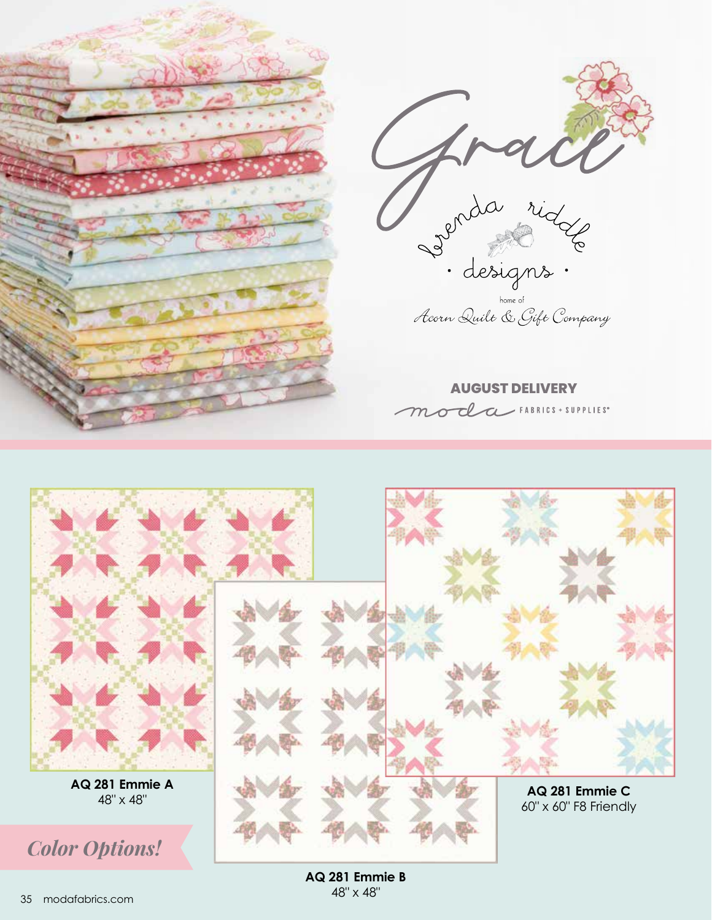



**AQ 281 Emmie B** 48" x 48"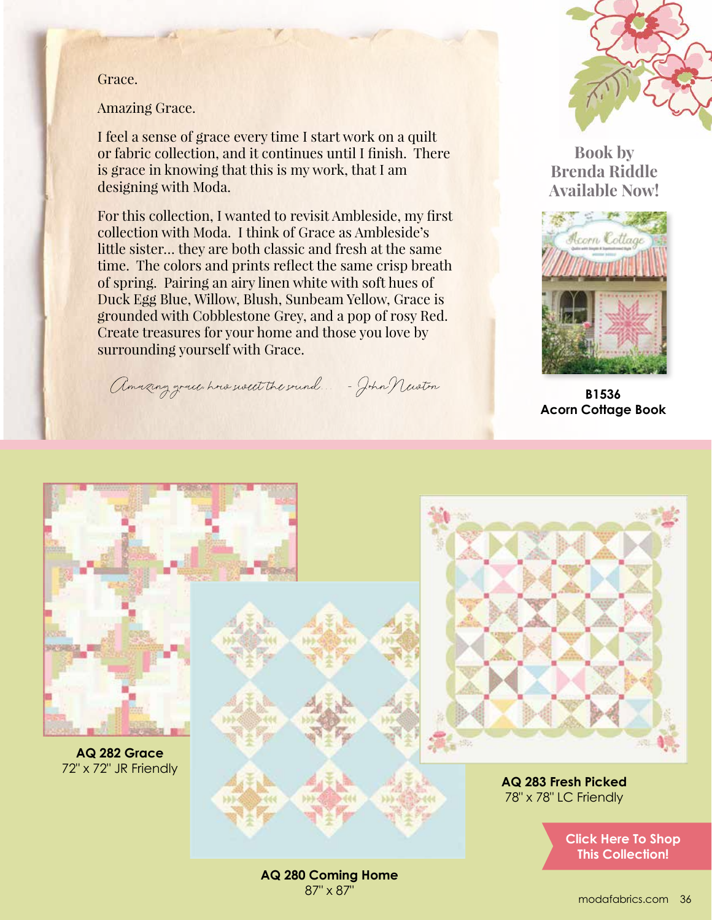Grace.

Amazing Grace.

I feel a sense of grace every time I start work on a quilt or fabric collection, and it continues until I finish. There is grace in knowing that this is my work, that I am designing with Moda.

For this collection, I wanted to revisit Ambleside, my first collection with Moda. I think of Grace as Ambleside's little sister… they are both classic and fresh at the same time. The colors and prints reflect the same crisp breath of spring. Pairing an airy linen white with soft hues of Duck Egg Blue, Willow, Blush, Sunbeam Yellow, Grace is grounded with Cobblestone Grey, and a pop of rosy Red. Create treasures for your home and those you love by surrounding yourself with Grace.

Amazing grace how went the sound... - John Newton



**Book by Brenda Riddle Available Now!**



**B1536 Acorn Cottage Book**



**AQ 280 Coming Home** 87" x 87"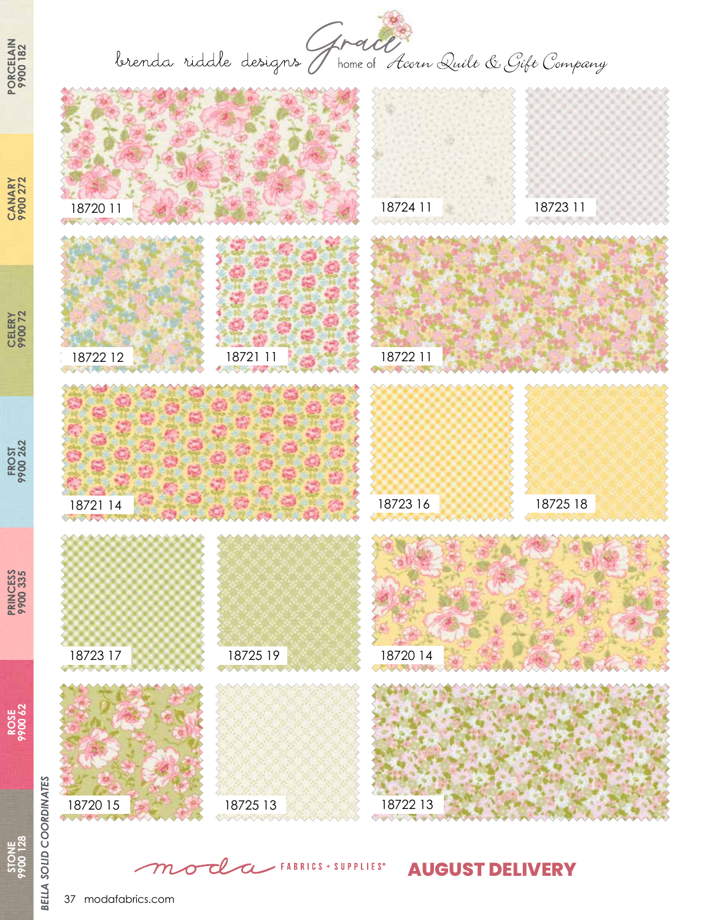brenda riddle designs J home of Acorn Quilt & Gift Company



FABRICS + SUPPLIES<sup>®</sup> **AUGUST DELIVERY**

> **PRINCESS 9900 335**

**PRINCESS**<br>9900 335

**ROSE 9900 62**

**STONE**<br>9900128 **9900 128**

**CELERY 9900 72**

**CANARY 9900 272**

**CANARY**<br>9900 272